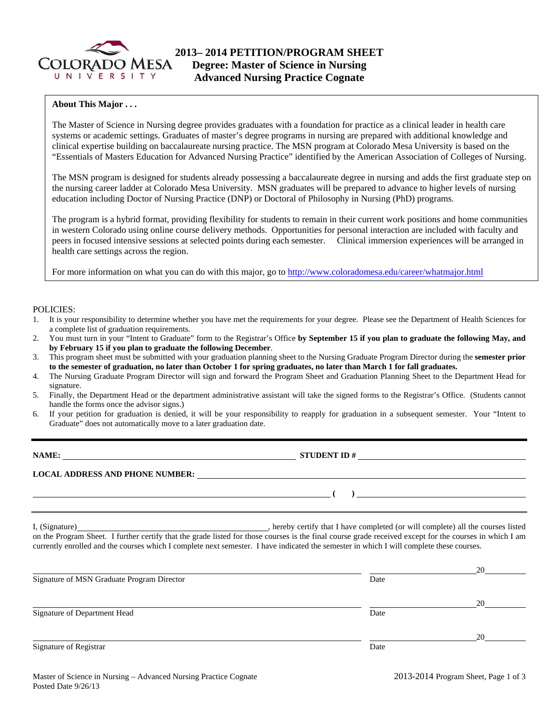

#### **About This Major . . .**

The Master of Science in Nursing degree provides graduates with a foundation for practice as a clinical leader in health care systems or academic settings. Graduates of master's degree programs in nursing are prepared with additional knowledge and clinical expertise building on baccalaureate nursing practice. The MSN program at Colorado Mesa University is based on the "Essentials of Masters Education for Advanced Nursing Practice" identified by the American Association of Colleges of Nursing.

The MSN program is designed for students already possessing a baccalaureate degree in nursing and adds the first graduate step on the nursing career ladder at Colorado Mesa University. MSN graduates will be prepared to advance to higher levels of nursing education including Doctor of Nursing Practice (DNP) or Doctoral of Philosophy in Nursing (PhD) programs.

The program is a hybrid format, providing flexibility for students to remain in their current work positions and home communities in western Colorado using online course delivery methods. Opportunities for personal interaction are included with faculty and peers in focused intensive sessions at selected points during each semester. Clinical immersion experiences will be arranged in health care settings across the region.

For more information on what you can do with this major, go to http://www.coloradomesa.edu/career/whatmajor.html

#### POLICIES:

- 1. It is your responsibility to determine whether you have met the requirements for your degree. Please see the Department of Health Sciences for a complete list of graduation requirements.
- 2. You must turn in your "Intent to Graduate" form to the Registrar's Office **by September 15 if you plan to graduate the following May, and by February 15 if you plan to graduate the following December**.
- 3. This program sheet must be submitted with your graduation planning sheet to the Nursing Graduate Program Director during the **semester prior to the semester of graduation, no later than October 1 for spring graduates, no later than March 1 for fall graduates.**
- 4. The Nursing Graduate Program Director will sign and forward the Program Sheet and Graduation Planning Sheet to the Department Head for signature.
- 5. Finally, the Department Head or the department administrative assistant will take the signed forms to the Registrar's Office. (Students cannot handle the forms once the advisor signs.)
- 6. If your petition for graduation is denied, it will be your responsibility to reapply for graduation in a subsequent semester. Your "Intent to Graduate" does not automatically move to a later graduation date.

| NAME:                                  | <b>STUDENT ID#</b> |
|----------------------------------------|--------------------|
| <b>LOCAL ADDRESS AND PHONE NUMBER:</b> |                    |
|                                        |                    |

I, (Signature) **Solution** , hereby certify that I have completed (or will complete) all the courses listed on the Program Sheet. I further certify that the grade listed for those courses is the final course grade received except for the courses in which I am currently enrolled and the courses which I complete next semester. I have indicated the semester in which I will complete these courses.

|                                            |      | 20 |
|--------------------------------------------|------|----|
| Signature of MSN Graduate Program Director | Date |    |
|                                            |      | 20 |
| Signature of Department Head               | Date |    |
|                                            |      | 20 |
| Signature of Registrar                     | Date |    |
|                                            |      |    |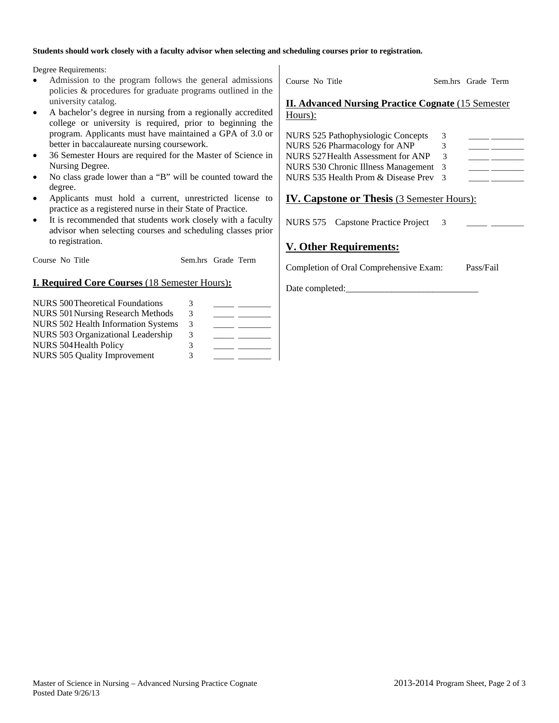#### **Students should work closely with a faculty advisor when selecting and scheduling courses prior to registration.**

Degree Requirements:

- Admission to the program follows the general admissions policies & procedures for graduate programs outlined in the university catalog.
- A bachelor's degree in nursing from a regionally accredited college or university is required, prior to beginning the program. Applicants must have maintained a GPA of 3.0 or better in baccalaureate nursing coursework.
- 36 Semester Hours are required for the Master of Science in Nursing Degree.
- No class grade lower than a "B" will be counted toward the degree.
- Applicants must hold a current, unrestricted license to practice as a registered nurse in their State of Practice.
- It is recommended that students work closely with a faculty advisor when selecting courses and scheduling classes prior to registration.

Course No Title Sem.hrs Grade Term

### **I. Required Core Courses** (18 Semester Hours)**:**

| <b>NURS 500 Theoretical Foundations</b>    | 3 |  |
|--------------------------------------------|---|--|
| <b>NURS 501 Nursing Research Methods</b>   | 3 |  |
| <b>NURS 502 Health Information Systems</b> | 3 |  |
| NURS 503 Organizational Leadership         | 3 |  |
| NURS 504 Health Policy                     | 3 |  |
| NURS 505 Quality Improvement               | 3 |  |

Course No Title Sem.hrs Grade Term **II. Advanced Nursing Practice Cognate** (15 Semester Hours):

| NURS 525 Pathophysiologic Concepts    | 3             |  |
|---------------------------------------|---------------|--|
| NURS 526 Pharmacology for ANP         | 3             |  |
| NURS 527 Health Assessment for ANP    | 3             |  |
| NURS 530 Chronic Illness Management 3 |               |  |
| NURS 535 Health Prom & Disease Prev   | $\mathcal{R}$ |  |
|                                       |               |  |

## **IV. Capstone or Thesis** (3 Semester Hours):

NURS 575 Capstone Practice Project 3

## **V. Other Requirements:**

Date completed:

Completion of Oral Comprehensive Exam: Pass/Fail